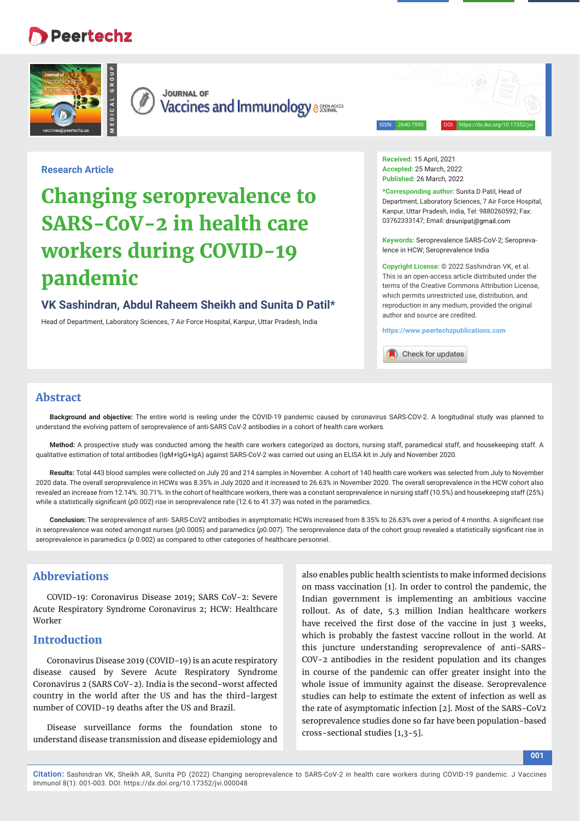# **Peertechz**





**JOURNAL OF Vaccines and Immunology assessed value of** 

ISSN: 2640-7590 DOI: https://dx.doi.org/10.17352/jvi

### **Research Article**

# **Changing seroprevalence to SARS-CoV-2 in health care workers during COVID-19 pandemic**

# **VK Sashindran, Abdul Raheem Sheikh and Sunita D Patil\***

Head of Department, Laboratory Sciences, 7 Air Force Hospital, Kanpur, Uttar Pradesh, India

**Received:** 15 April, 2021 **Accepted:** 25 March, 2022 **Published:** 26 March, 2022

**\*Corresponding author:** Sunita D Patil, Head of Department, Laboratory Sciences, 7 Air Force Hospital, Kanpur, Uttar Pradesh, India, Tel: 9880260592; Fax: 03762333147; Email: drsunipat@gmail.com

**Keywords:** Seroprevalence SARS-CoV-2; Seroprevalence in HCW; Seroprevalence India

**Copyright License:** © 2022 Sashindran VK, et al. This is an open-access article distributed under the terms of the Creative Commons Attribution License, which permits unrestricted use, distribution, and reproduction in any medium, provided the original author and source are credited.

**https://www.peertechzpublications.com**

Check for updates

## **Abstract**

**Background and objective:** The entire world is reeling under the COVID-19 pandemic caused by coronavirus SARS-COV-2. A longitudinal study was planned to understand the evolving pattern of seroprevalence of anti-SARS CoV-2 antibodies in a cohort of health care workers.

**Method:** A prospective study was conducted among the health care workers categorized as doctors, nursing staff, paramedical staff, and housekeeping staff. A qualitative estimation of total antibodies (IgM+IgG+IgA) against SARS-CoV-2 was carried out using an ELISA kit in July and November 2020.

**Results:** Total 443 blood samples were collected on July 20 and 214 samples in November. A cohort of 140 health care workers was selected from July to November 2020 data. The overall seroprevalence in HCWs was 8.35% in July 2020 and it increased to 26.63% in November 2020. The overall seroprevalence in the HCW cohort also revealed an increase from 12.14%. 30.71%. In the cohort of healthcare workers, there was a constant seroprevalence in nursing staff (10.5%) and housekeeping staff (25%) while a statistically significant (p0.002) rise in seroprevalence rate (12.6 to 41.37) was noted in the paramedics.

Conclusion: The seroprevalence of anti- SARS-CoV2 antibodies in asymptomatic HCWs increased from 8.35% to 26.63% over a period of 4 months. A significant rise in seroprevalence was noted amongst nurses (p0.0005) and paramedics (p0.007). The seroprevalence data of the cohort group revealed a statistically significant rise in seroprevalence in paramedics (*p* 0.002) as compared to other categories of healthcare personnel.

# **Abbreviations**

COVID-19: Coronavirus Disease 2019; SARS CoV-2: Severe Acute Respiratory Syndrome Coronavirus 2; HCW: Healthcare Worker

# **Introduction**

Coronavirus Disease 2019 (COVID-19) is an acute respiratory disease caused by Severe Acute Respiratory Syndrome Coronavirus 2 (SARS CoV-2). India is the second-worst affected country in the world after the US and has the third-largest number of COVID-19 deaths after the US and Brazil.

Disease surveillance forms the foundation stone to understand disease transmission and disease epidemiology and

also enables public health scientists to make informed decisions on mass vaccination [1]. In order to control the pandemic, the Indian government is implementing an ambitious vaccine rollout. As of date, 5.3 million Indian healthcare workers have received the first dose of the vaccine in just 3 weeks, which is probably the fastest vaccine rollout in the world. At this juncture understanding seroprevalence of anti-SARS-COV-2 antibodies in the resident population and its changes in course of the pandemic can offer greater insight into the whole issue of immunity against the disease. Seroprevalence studies can help to estimate the extent of infection as well as the rate of asymptomatic infection [2]. Most of the SARS-CoV2 seroprevalence studies done so far have been population-based cross-sectional studies [1,3-5].

**Citation:** Sashindran VK, Sheikh AR, Sunita PD (2022) Changing seroprevalence to SARS-CoV-2 in health care workers during COVID-19 pandemic. J Vaccines Immunol 8(1): 001-003. DOI: https://dx.doi.org/10.17352/jvi.000048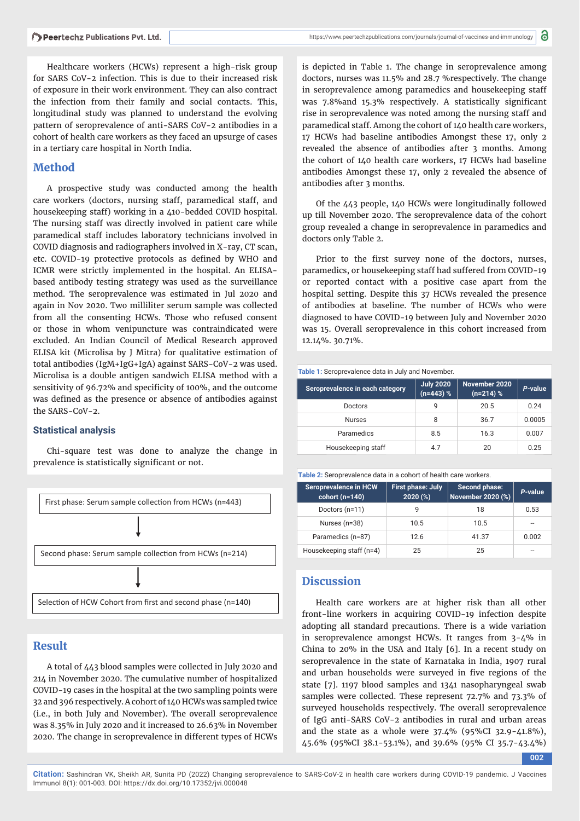Healthcare workers (HCWs) represent a high-risk group for SARS CoV-2 infection. This is due to their increased risk of exposure in their work environment. They can also contract the infection from their family and social contacts. This, longitudinal study was planned to understand the evolving pattern of seroprevalence of anti-SARS CoV-2 antibodies in a cohort of health care workers as they faced an upsurge of cases in a tertiary care hospital in North India.

# **Method**

A prospective study was conducted among the health care workers (doctors, nursing staff, paramedical staff, and housekeeping staff) working in a 410-bedded COVID hospital. The nursing staff was directly involved in patient care while paramedical staff includes laboratory technicians involved in COVID diagnosis and radiographers involved in X-ray, CT scan, etc. COVID-19 protective protocols as defined by WHO and ICMR were strictly implemented in the hospital. An ELISAbased antibody testing strategy was used as the surveillance method. The seroprevalence was estimated in Jul 2020 and again in Nov 2020. Two milliliter serum sample was collected from all the consenting HCWs. Those who refused consent or those in whom venipuncture was contraindicated were excluded. An Indian Council of Medical Research approved ELISA kit (Microlisa by J Mitra) for qualitative estimation of total antibodies (IgM+IgG+IgA) against SARS-CoV-2 was used. Microlisa is a double antigen sandwich ELISA method with a sensitivity of 96.72% and specificity of 100%, and the outcome was defined as the presence or absence of antibodies against the SARS-CoV-2.

#### **Statistical analysis**

Chi-square test was done to analyze the change in prevalence is statistically significant or not.



# **Result**

A total of 443 blood samples were collected in July 2020 and 214 in November 2020. The cumulative number of hospitalized COVID-19 cases in the hospital at the two sampling points were 32 and 396 respectively. A cohort of 140 HCWs was sampled twice (i.e., in both July and November). The overall seroprevalence was 8.35% in July 2020 and it increased to 26.63% in November 2020. The change in seroprevalence in different types of HCWs

is depicted in Table 1. The change in seroprevalence among doctors, nurses was 11.5% and 28.7 %respectively. The change in seroprevalence among paramedics and housekeeping staff was 7.8% and 15.3% respectively. A statistically significant rise in seroprevalence was noted among the nursing staff and paramedical staff. Among the cohort of 140 health care workers, 17 HCWs had baseline antibodies Amongst these 17, only 2 revealed the absence of antibodies after 3 months. Among the cohort of 140 health care workers, 17 HCWs had baseline antibodies Amongst these 17, only 2 revealed the absence of antibodies after 3 months.

Of the 443 people, 140 HCWs were longitudinally followed up till November 2020. The seroprevalence data of the cohort group revealed a change in seroprevalence in paramedics and doctors only Table 2.

Prior to the first survey none of the doctors, nurses, paramedics, or housekeeping staff had suffered from COVID-19 or reported contact with a positive case apart from the hospital setting. Despite this 37 HCWs revealed the presence of antibodies at baseline. The number of HCWs who were diagnosed to have COVID-19 between July and November 2020 was 15. Overall seroprevalence in this cohort increased from 12.14%. 30.71%.



| Seroprevalence in each category | <b>July 2020</b><br>$(n=443)$ % | November 2020<br>$(n=214)$ % | P-value |
|---------------------------------|---------------------------------|------------------------------|---------|
| Doctors                         | 9                               | 20.5                         | 0.24    |
| <b>Nurses</b>                   | 8                               | 36.7                         | 0.0005  |
| Paramedics                      | 8.5                             | 16.3                         | 0.007   |
| Housekeeping staff              | 4.7                             | 20                           | 0.25    |

**Table 2:** Seroprevalence data in a cohort of health care workers.

| <b>Seroprevalence in HCW</b><br>cohort $(n=140)$ | <b>First phase: July</b><br>2020 (%) | Second phase:<br><b>November 2020 (%)</b> | P-value |
|--------------------------------------------------|--------------------------------------|-------------------------------------------|---------|
| Doctors (n=11)                                   |                                      | 18                                        | 0.53    |
| Nurses (n=38)                                    | 10.5                                 | 10.5                                      | --      |
| Paramedics (n=87)                                | 12.6                                 | 41.37                                     | 0.002   |
| Housekeeping staff (n=4)                         | 25                                   | 25                                        | --      |

# **Discussion**

Health care workers are at higher risk than all other front-line workers in acquiring COVID-19 infection despite adopting all standard precautions. There is a wide variation in seroprevalence amongst HCWs. It ranges from 3-4% in China to 20% in the USA and Italy [6]. In a recent study on seroprevalence in the state of Karnataka in India, 1907 rural and urban households were surveyed in five regions of the state [7]. 1197 blood samples and 1341 nasopharyngeal swab samples were collected. These represent 72.7% and 73.3% of surveyed households respectively. The overall seroprevalence of IgG anti-SARS CoV-2 antibodies in rural and urban areas and the state as a whole were 37.4% (95%CI 32.9-41.8%), 45.6% (95%CI 38.1-53.1%), and 39.6% (95% CI 35.7-43.4%)

**002**

**Citation:** Sashindran VK, Sheikh AR, Sunita PD (2022) Changing seroprevalence to SARS-CoV-2 in health care workers during COVID-19 pandemic. J Vaccines Immunol 8(1): 001-003. DOI: https://dx.doi.org/10.17352/jvi.000048